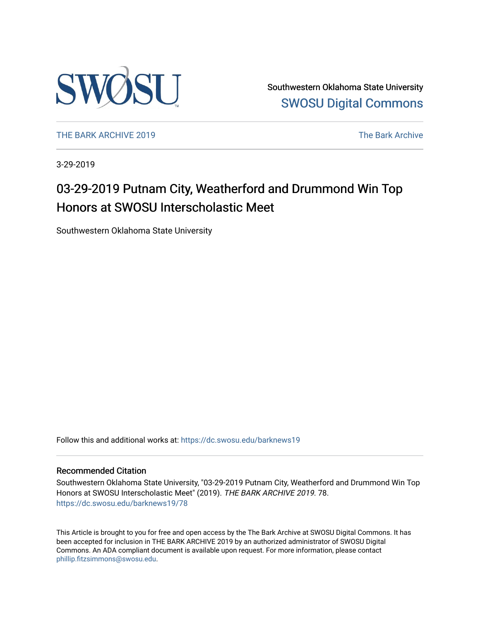

Southwestern Oklahoma State University [SWOSU Digital Commons](https://dc.swosu.edu/) 

[THE BARK ARCHIVE 2019](https://dc.swosu.edu/barknews19) The Bark Archive

3-29-2019

# 03-29-2019 Putnam City, Weatherford and Drummond Win Top Honors at SWOSU Interscholastic Meet

Southwestern Oklahoma State University

Follow this and additional works at: [https://dc.swosu.edu/barknews19](https://dc.swosu.edu/barknews19?utm_source=dc.swosu.edu%2Fbarknews19%2F78&utm_medium=PDF&utm_campaign=PDFCoverPages)

#### Recommended Citation

Southwestern Oklahoma State University, "03-29-2019 Putnam City, Weatherford and Drummond Win Top Honors at SWOSU Interscholastic Meet" (2019). THE BARK ARCHIVE 2019. 78. [https://dc.swosu.edu/barknews19/78](https://dc.swosu.edu/barknews19/78?utm_source=dc.swosu.edu%2Fbarknews19%2F78&utm_medium=PDF&utm_campaign=PDFCoverPages) 

This Article is brought to you for free and open access by the The Bark Archive at SWOSU Digital Commons. It has been accepted for inclusion in THE BARK ARCHIVE 2019 by an authorized administrator of SWOSU Digital Commons. An ADA compliant document is available upon request. For more information, please contact [phillip.fitzsimmons@swosu.edu](mailto:phillip.fitzsimmons@swosu.edu).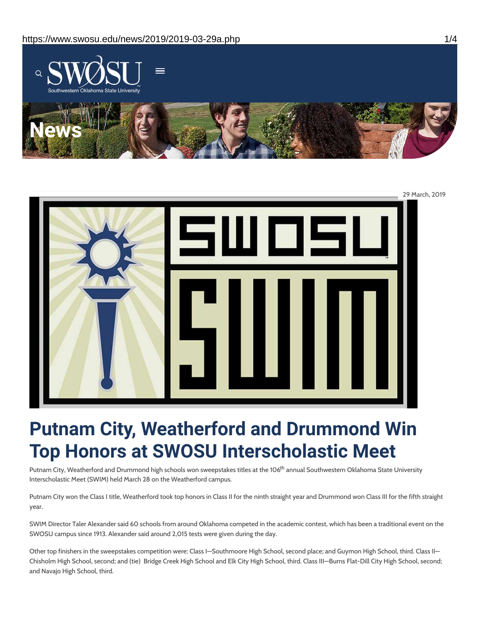



# **Putnam City, Weatherford and Drummond Win Top Honors at SWOSU Interscholastic Meet**

Putnam City, Weatherford and Drummond high schools won sweepstakes titles at the 106<sup>th</sup> annual Southwestern Oklahoma State University Interscholastic Meet (SWIM) held March 28 on the Weatherford campus.

Putnam City won the Class I title, Weatherford took top honors in Class II for the ninth straight year and Drummond won Class III for the fifth straight year.

SWIM Director Taler Alexander said 60 schools from around Oklahoma competed in the academic contest, which has been a traditional event on the SWOSU campus since 1913. Alexander said around 2,015 tests were given during the day.

Other top finishers in the sweepstakes competition were: Class I—Southmoore High School, second place; and Guymon High School, third. Class II— Chisholm High School, second; and (tie) Bridge Creek High School and Elk City High School, third. Class III—Burns Flat-Dill City High School, second; and Navajo High School, third.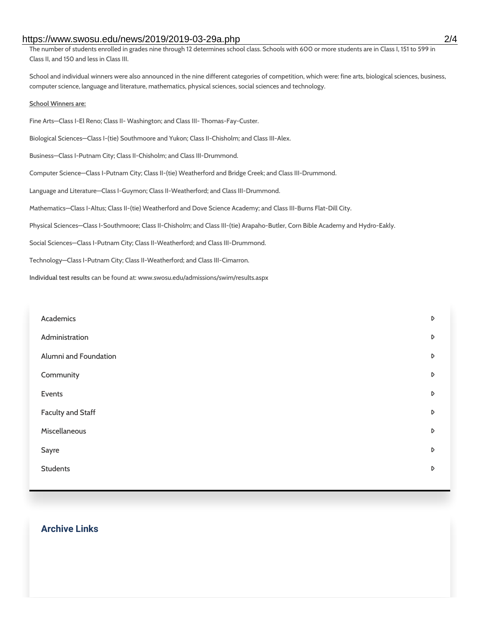#### https://www.swosu.edu/news/2019/2019-03-29a.php 2/4

The number of students enrolled in grades nine through 12 determines school class. Schools with 600 or more students are in Class I, 151 to 599 in Class II, and 150 and less in Class III.

School and individual winners were also announced in the nine different categories of competition, which were: fine arts, biological sciences, business, computer science, language and literature, mathematics, physical sciences, social sciences and technology.

#### **School Winners are:**

Fine Arts—Class I-El Reno; Class II- Washington; and Class III- Thomas-Fay-Custer. Biological Sciences—Class I-(tie) Southmoore and Yukon; Class II-Chisholm; and Class III-Alex. Business—Class I-Putnam City; Class II-Chisholm; and Class III-Drummond. Computer Science—Class I-Putnam City; Class II-(tie) Weatherford and Bridge Creek; and Class III-Drummond. Language and Literature—Class I-Guymon; Class II-Weatherford; and Class III-Drummond. Mathematics—Class I-Altus; Class II-(tie) Weatherford and Dove Science Academy; and Class III-Burns Flat-Dill City. Physical Sciences—Class I-Southmoore; Class II-Chisholm; and Class III-(tie) Arapaho-Butler, Corn Bible Academy and Hydro-Eakly. Social Sciences—Class I-Putnam City; Class II-Weatherford; and Class III-Drummond. Technology—Class I-Putnam City; Class II-Weatherford; and Class III-Cimarron. **Individual test results** can be found at: www.swosu.edu/admissions/swim/results.aspx

| Academics                | D                |
|--------------------------|------------------|
| Administration           | D                |
| Alumni and Foundation    | D                |
| Community                | D                |
| Events                   | D                |
| <b>Faculty and Staff</b> | $\triangleright$ |
| Miscellaneous            | D                |
| Sayre                    | D                |
| <b>Students</b>          | D                |
|                          |                  |

## **Archive Links**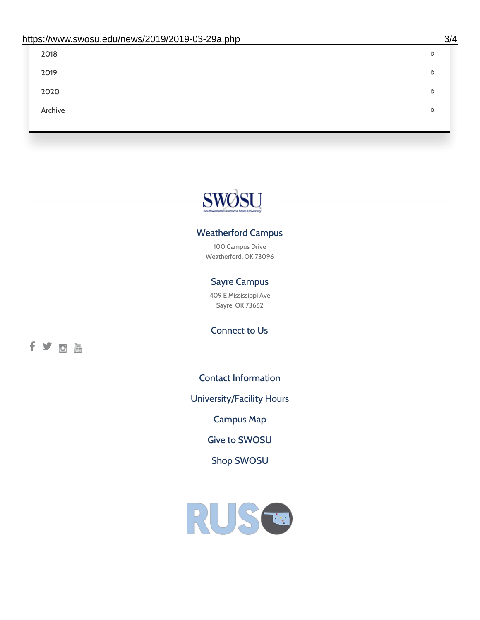| 2018    | D |
|---------|---|
| 2019    | D |
| 2020    | D |
| Archive | D |
|         |   |

# SWOSU

### Weatherford Campus

100 Campus Drive Weatherford, OK 73096

## Sayre Campus

409 E Mississippi Ave Sayre, OK 73662

fyom

Connect to Us

Contact [Information](https://www.swosu.edu/about/contact.php)

[University/Facility](https://www.swosu.edu/about/operating-hours.php) Hours

[Campus](https://map.concept3d.com/?id=768#!ct/10964,10214,10213,10212,10205,10204,10203,10202,10136,10129,10128,0,31226,10130,10201,10641,0) Map

Give to [SWOSU](https://standingfirmly.com/donate)

Shop [SWOSU](https://shopswosu.merchorders.com/)